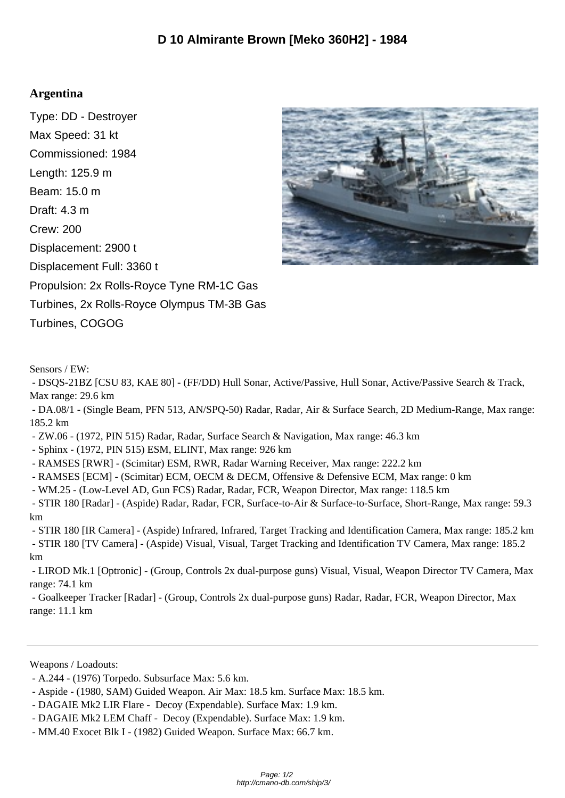## **Argentina**

Type: DD - Destroyer Max Speed: 31 kt Commissioned: 1984 Length: 125.9 m Beam: 15.0 m Draft: 4.3 m Crew: 200 Displacement: 2900 t Displacement Full: 3360 t Propulsion: 2x Rolls-Royce Tyne RM-1C Gas Turbines, 2x Rolls-Royce Olympus TM-3B Gas Turbines, COGOG



Sensors / EW:

 - DSQS-21BZ [CSU 83, KAE 80] - (FF/DD) Hull Sonar, Active/Passive, Hull Sonar, Active/Passive Search & Track, Max range: 29.6 km

 - DA.08/1 - (Single Beam, PFN 513, AN/SPQ-50) Radar, Radar, Air & Surface Search, 2D Medium-Range, Max range: 185.2 km

- ZW.06 - (1972, PIN 515) Radar, Radar, Surface Search & Navigation, Max range: 46.3 km

- Sphinx - (1972, PIN 515) ESM, ELINT, Max range: 926 km

- RAMSES [RWR] - (Scimitar) ESM, RWR, Radar Warning Receiver, Max range: 222.2 km

- RAMSES [ECM] - (Scimitar) ECM, OECM & DECM, Offensive & Defensive ECM, Max range: 0 km

- WM.25 - (Low-Level AD, Gun FCS) Radar, Radar, FCR, Weapon Director, Max range: 118.5 km

 - STIR 180 [Radar] - (Aspide) Radar, Radar, FCR, Surface-to-Air & Surface-to-Surface, Short-Range, Max range: 59.3 km

- STIR 180 [IR Camera] - (Aspide) Infrared, Infrared, Target Tracking and Identification Camera, Max range: 185.2 km

 - STIR 180 [TV Camera] - (Aspide) Visual, Visual, Target Tracking and Identification TV Camera, Max range: 185.2 km

 - LIROD Mk.1 [Optronic] - (Group, Controls 2x dual-purpose guns) Visual, Visual, Weapon Director TV Camera, Max range: 74.1 km

 - Goalkeeper Tracker [Radar] - (Group, Controls 2x dual-purpose guns) Radar, Radar, FCR, Weapon Director, Max range: 11.1 km

Weapons / Loadouts:

 <sup>-</sup> A.244 - (1976) Torpedo. Subsurface Max: 5.6 km.

 <sup>-</sup> Aspide - (1980, SAM) Guided Weapon. Air Max: 18.5 km. Surface Max: 18.5 km.

 <sup>-</sup> DAGAIE Mk2 LIR Flare - Decoy (Expendable). Surface Max: 1.9 km.

 <sup>-</sup> DAGAIE Mk2 LEM Chaff - Decoy (Expendable). Surface Max: 1.9 km.

 <sup>-</sup> MM.40 Exocet Blk I - (1982) Guided Weapon. Surface Max: 66.7 km.